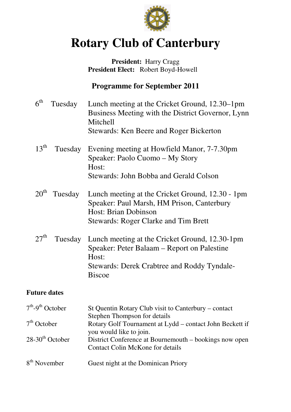

# **Rotary Club of Canterbury**

#### President: Harry Cragg  **President Elect:** Robert Boyd-Howell

## **Programme for September 2011**

| 6 <sup>th</sup>  | Tuesday | Lunch meeting at the Cricket Ground, 12.30–1pm<br>Business Meeting with the District Governor, Lynn<br>Mitchell<br>Stewards: Ken Beere and Roger Bickerton                    |
|------------------|---------|-------------------------------------------------------------------------------------------------------------------------------------------------------------------------------|
| $13^{\text{th}}$ | Tuesday | Evening meeting at Howfield Manor, 7-7.30pm<br>Speaker: Paolo Cuomo – My Story<br>Host:<br>Stewards: John Bobba and Gerald Colson                                             |
| 20 <sup>th</sup> | Tuesday | Lunch meeting at the Cricket Ground, 12.30 - 1pm<br>Speaker: Paul Marsh, HM Prison, Canterbury<br>Host: Brian Dobinson<br><b>Stewards: Roger Clarke and Tim Brett</b>         |
| $27^{\text{th}}$ | Tuesday | Lunch meeting at the Cricket Ground, 12.30-1pm<br>Speaker: Peter Balaam – Report on Palestine<br>Host:<br><b>Stewards: Derek Crabtree and Roddy Tyndale-</b><br><b>Biscoe</b> |

#### **Future dates**

| $7th-9th$ October             | St Quentin Rotary Club visit to Canterbury – contact                                              |
|-------------------------------|---------------------------------------------------------------------------------------------------|
|                               | Stephen Thompson for details                                                                      |
| $7th$ October                 | Rotary Golf Tournament at Lydd - contact John Beckett if<br>you would like to join.               |
| $28-30$ <sup>th</sup> October | District Conference at Bournemouth – bookings now open<br><b>Contact Colin McKone for details</b> |
| 8 <sup>th</sup> November      | Guest night at the Dominican Priory                                                               |